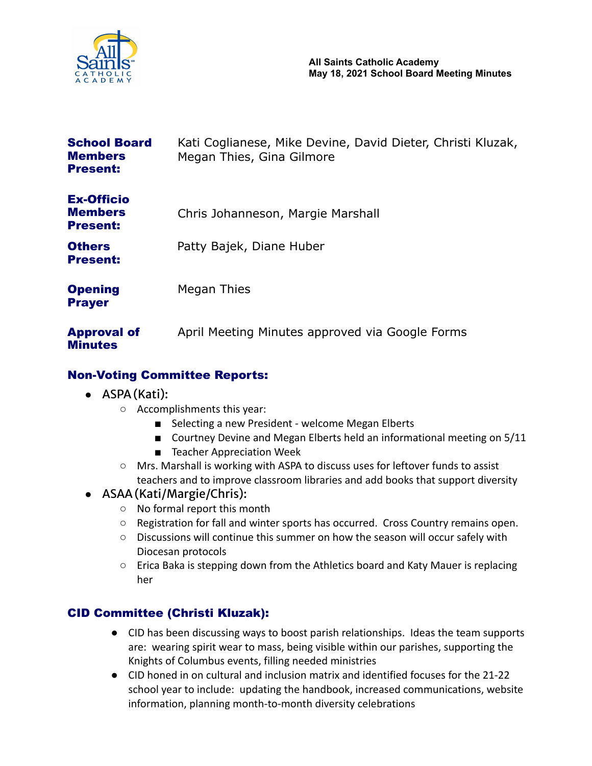

| <b>School Board</b><br><b>Members</b><br><b>Present:</b> | Kati Coglianese, Mike Devine, David Dieter, Christi Kluzak,<br>Megan Thies, Gina Gilmore |
|----------------------------------------------------------|------------------------------------------------------------------------------------------|
| <b>Ex-Officio</b><br><b>Members</b><br><b>Present:</b>   | Chris Johanneson, Margie Marshall                                                        |
| <b>Others</b><br><b>Present:</b>                         | Patty Bajek, Diane Huber                                                                 |
| <b>Opening</b><br><b>Prayer</b>                          | Megan Thies                                                                              |
| <b>Approval of</b><br><b>Minutes</b>                     | April Meeting Minutes approved via Google Forms                                          |

## Non-Voting Committee Reports:

- ASPA(Kati):
	- Accomplishments this year:
		- Selecting a new President welcome Megan Elberts
		- Courtney Devine and Megan Elberts held an informational meeting on 5/11
		- Teacher Appreciation Week
	- Mrs. Marshall is working with ASPA to discuss uses for leftover funds to assist teachers and to improve classroom libraries and add books that support diversity

## ● ASAA(Kati/Margie/Chris):

- No formal report this month
- $\circ$  Registration for fall and winter sports has occurred. Cross Country remains open.
- Discussions will continue this summer on how the season will occur safely with Diocesan protocols
- $\circ$  Erica Baka is stepping down from the Athletics board and Katy Mauer is replacing her

# CID Committee (Christi Kluzak):

- CID has been discussing ways to boost parish relationships. Ideas the team supports are: wearing spirit wear to mass, being visible within our parishes, supporting the Knights of Columbus events, filling needed ministries
- CID honed in on cultural and inclusion matrix and identified focuses for the 21-22 school year to include: updating the handbook, increased communications, website information, planning month-to-month diversity celebrations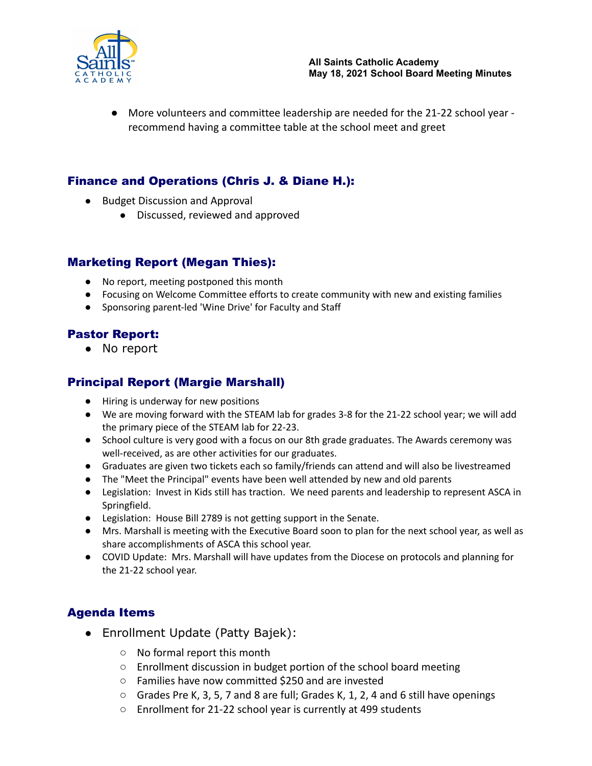

● More volunteers and committee leadership are needed for the 21-22 school year recommend having a committee table at the school meet and greet

## Finance and Operations (Chris J. & Diane H.):

- Budget Discussion and Approval
	- Discussed, reviewed and approved

#### Marketing Report (Megan Thies):

- No report, meeting postponed this month
- Focusing on Welcome Committee efforts to create community with new and existing families
- Sponsoring parent-led 'Wine Drive' for Faculty and Staff

#### Pastor Report:

● No report

## Principal Report (Margie Marshall)

- Hiring is underway for new positions
- We are moving forward with the STEAM lab for grades 3-8 for the 21-22 school year; we will add the primary piece of the STEAM lab for 22-23.
- School culture is very good with a focus on our 8th grade graduates. The Awards ceremony was well-received, as are other activities for our graduates.
- Graduates are given two tickets each so family/friends can attend and will also be livestreamed
- The "Meet the Principal" events have been well attended by new and old parents
- Legislation: Invest in Kids still has traction. We need parents and leadership to represent ASCA in Springfield.
- Legislation: House Bill 2789 is not getting support in the Senate.
- Mrs. Marshall is meeting with the Executive Board soon to plan for the next school year, as well as share accomplishments of ASCA this school year.
- COVID Update: Mrs. Marshall will have updates from the Diocese on protocols and planning for the 21-22 school year.

## Agenda Items

- Enrollment Update (Patty Bajek):
	- No formal report this month
	- Enrollment discussion in budget portion of the school board meeting
	- Families have now committed \$250 and are invested
	- $\circ$  Grades Pre K, 3, 5, 7 and 8 are full; Grades K, 1, 2, 4 and 6 still have openings
	- Enrollment for 21-22 school year is currently at 499 students